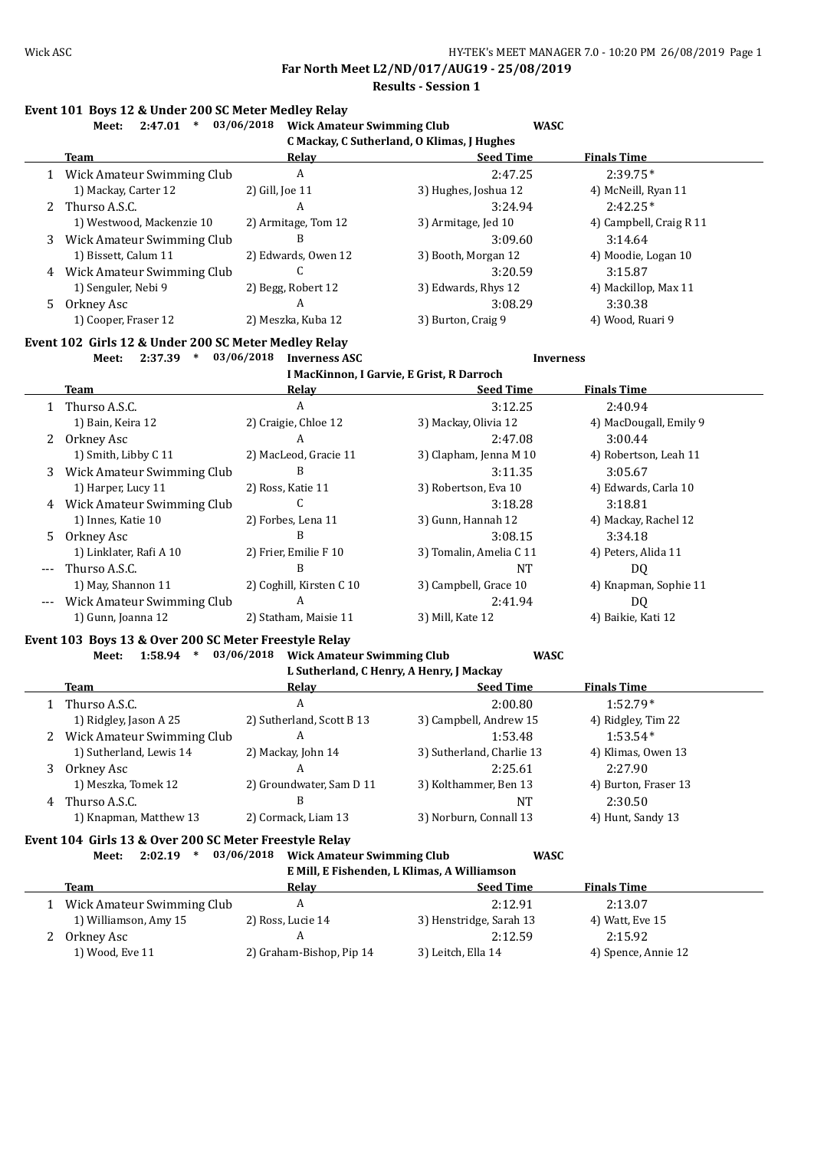**Far North Meet L2/ND/017/AUG19 - 25/08/2019 Results - Session 1**

### **Event 101 Boys 12 & Under 200 SC Meter Medley Relay**

| 2:47.01<br>Meet:                           |                     | <b>WASC</b>          |                                   |  |  |  |  |  |  |  |
|--------------------------------------------|---------------------|----------------------|-----------------------------------|--|--|--|--|--|--|--|
| C Mackay, C Sutherland, O Klimas, J Hughes |                     |                      |                                   |  |  |  |  |  |  |  |
| Team                                       | <b>Relav</b>        | <b>Seed Time</b>     | <b>Finals Time</b>                |  |  |  |  |  |  |  |
| Wick Amateur Swimming Club                 | A                   | 2:47.25              | $2:39.75*$                        |  |  |  |  |  |  |  |
| 1) Mackay, Carter 12                       | 2) Gill, Joe 11     | 3) Hughes, Joshua 12 | 4) McNeill, Ryan 11               |  |  |  |  |  |  |  |
|                                            | A                   | 3:24.94              | $2:42.25*$                        |  |  |  |  |  |  |  |
| 1) Westwood, Mackenzie 10                  | 2) Armitage, Tom 12 | 3) Armitage, Jed 10  | 4) Campbell, Craig R 11           |  |  |  |  |  |  |  |
| Wick Amateur Swimming Club                 | B                   | 3:09.60              | 3:14.64                           |  |  |  |  |  |  |  |
| 1) Bissett, Calum 11                       | 2) Edwards, Owen 12 | 3) Booth, Morgan 12  | 4) Moodie, Logan 10               |  |  |  |  |  |  |  |
| Wick Amateur Swimming Club                 |                     | 3:20.59              | 3:15.87                           |  |  |  |  |  |  |  |
| 1) Senguler, Nebi 9                        | 2) Begg, Robert 12  | 3) Edwards, Rhys 12  | 4) Mackillop, Max 11              |  |  |  |  |  |  |  |
| Orkney Asc                                 | A                   | 3:08.29              | 3:30.38                           |  |  |  |  |  |  |  |
| 1) Cooper, Fraser 12                       | 2) Meszka, Kuba 12  | 3) Burton, Craig 9   | 4) Wood, Ruari 9                  |  |  |  |  |  |  |  |
|                                            | 2 Thurso A.S.C.     | 03/06/2018           | <b>Wick Amateur Swimming Club</b> |  |  |  |  |  |  |  |

#### **Event 102 Girls 12 & Under 200 SC Meter Medley Relay**

**Meet: 2:37.39 \* 03/06/2018 Inverness ASC Inverness**

**I MacKinnon, I Garvie, E Grist, R Darroch**

|          | Team                       | Relay                    | <b>Seed Time</b>        | <b>Finals Time</b>     |
|----------|----------------------------|--------------------------|-------------------------|------------------------|
|          | 1 Thurso A.S.C.            | A                        | 3:12.25                 | 2:40.94                |
|          | 1) Bain, Keira 12          | 2) Craigie, Chloe 12     | 3) Mackay, Olivia 12    | 4) MacDougall, Emily 9 |
|          | 2 Orkney Asc               | A                        | 2:47.08                 | 3:00.44                |
|          | 1) Smith, Libby C 11       | 2) MacLeod, Gracie 11    | 3) Clapham, Jenna M 10  | 4) Robertson, Leah 11  |
| 3        | Wick Amateur Swimming Club | B                        | 3:11.35                 | 3:05.67                |
|          | 1) Harper, Lucy 11         | 2) Ross, Katie 11        | 3) Robertson, Eva 10    | 4) Edwards, Carla 10   |
| 4        | Wick Amateur Swimming Club |                          | 3:18.28                 | 3:18.81                |
|          | 1) Innes, Katie 10         | 2) Forbes, Lena 11       | 3) Gunn, Hannah 12      | 4) Mackay, Rachel 12   |
| 5        | Orkney Asc                 | B                        | 3:08.15                 | 3:34.18                |
|          | 1) Linklater, Rafi A 10    | 2) Frier, Emilie F 10    | 3) Tomalin, Amelia C 11 | 4) Peters, Alida 11    |
| $---$    | Thurso A.S.C.              | B                        | NT                      | DQ                     |
|          | 1) May, Shannon 11         | 2) Coghill, Kirsten C 10 | 3) Campbell, Grace 10   | 4) Knapman, Sophie 11  |
| $\cdots$ | Wick Amateur Swimming Club | A                        | 2:41.94                 | DQ                     |
|          | 1) Gunn, Joanna 12         | 2) Statham, Maisie 11    | 3) Mill, Kate 12        | 4) Baikie, Kati 12     |

#### **Event 103 Boys 13 & Over 200 SC Meter Freestyle Relay**

**Meet: 1:58.94 \* 03/06/2018 Wick Amateur Swimming Club WASC**

|   | L Sutherland, C Henry, A Henry, J Mackay |                           |                           |                      |  |  |  |  |  |  |
|---|------------------------------------------|---------------------------|---------------------------|----------------------|--|--|--|--|--|--|
|   | <b>Team</b>                              | <u>Relav</u>              | <b>Seed Time</b>          | <b>Finals Time</b>   |  |  |  |  |  |  |
|   | 1 Thurso A.S.C.                          | A                         | 2:00.80                   | $1:52.79*$           |  |  |  |  |  |  |
|   | 1) Ridgley, Jason A 25                   | 2) Sutherland, Scott B 13 | 3) Campbell, Andrew 15    | 4) Ridgley, Tim 22   |  |  |  |  |  |  |
| 2 | Wick Amateur Swimming Club               | A                         | 1:53.48                   | $1:53.54*$           |  |  |  |  |  |  |
|   | 1) Sutherland, Lewis 14                  | 2) Mackay, John 14        | 3) Sutherland, Charlie 13 | 4) Klimas, Owen 13   |  |  |  |  |  |  |
| 3 | Orkney Asc                               | А                         | 2:25.61                   | 2:27.90              |  |  |  |  |  |  |
|   | 1) Meszka, Tomek 12                      | 2) Groundwater, Sam D 11  | 3) Kolthammer, Ben 13     | 4) Burton, Fraser 13 |  |  |  |  |  |  |
| 4 | Thurso A.S.C.                            | В                         | NT                        | 2:30.50              |  |  |  |  |  |  |
|   | 1) Knapman, Matthew 13                   | 2) Cormack, Liam 13       | 3) Norburn, Connall 13    | 4) Hunt, Sandy 13    |  |  |  |  |  |  |

#### **Event 104 Girls 13 & Over 200 SC Meter Freestyle Relay**

**Meet: 2:02.19 \* 03/06/2018 Wick Amateur Swimming Club WASC E Mill, E Fishenden, L Klimas, A Williamson**

| в гип, в гонсписи, в кипис, и типинот |                          |                         |                     |  |  |  |  |  |  |
|---------------------------------------|--------------------------|-------------------------|---------------------|--|--|--|--|--|--|
| <b>Team</b>                           | Relav                    | <b>Seed Time</b>        | <b>Finals Time</b>  |  |  |  |  |  |  |
| Wick Amateur Swimming Club            |                          | 2:12.91                 | 2:13.07             |  |  |  |  |  |  |
| 1) Williamson, Amy 15                 | 2) Ross, Lucie 14        | 3) Henstridge, Sarah 13 | 4) Watt, Eve 15     |  |  |  |  |  |  |
| Orkney Asc                            |                          | 2:12.59                 | 2:15.92             |  |  |  |  |  |  |
| 1) Wood, Eve 11                       | 2) Graham-Bishop, Pip 14 | 3) Leitch, Ella 14      | 4) Spence, Annie 12 |  |  |  |  |  |  |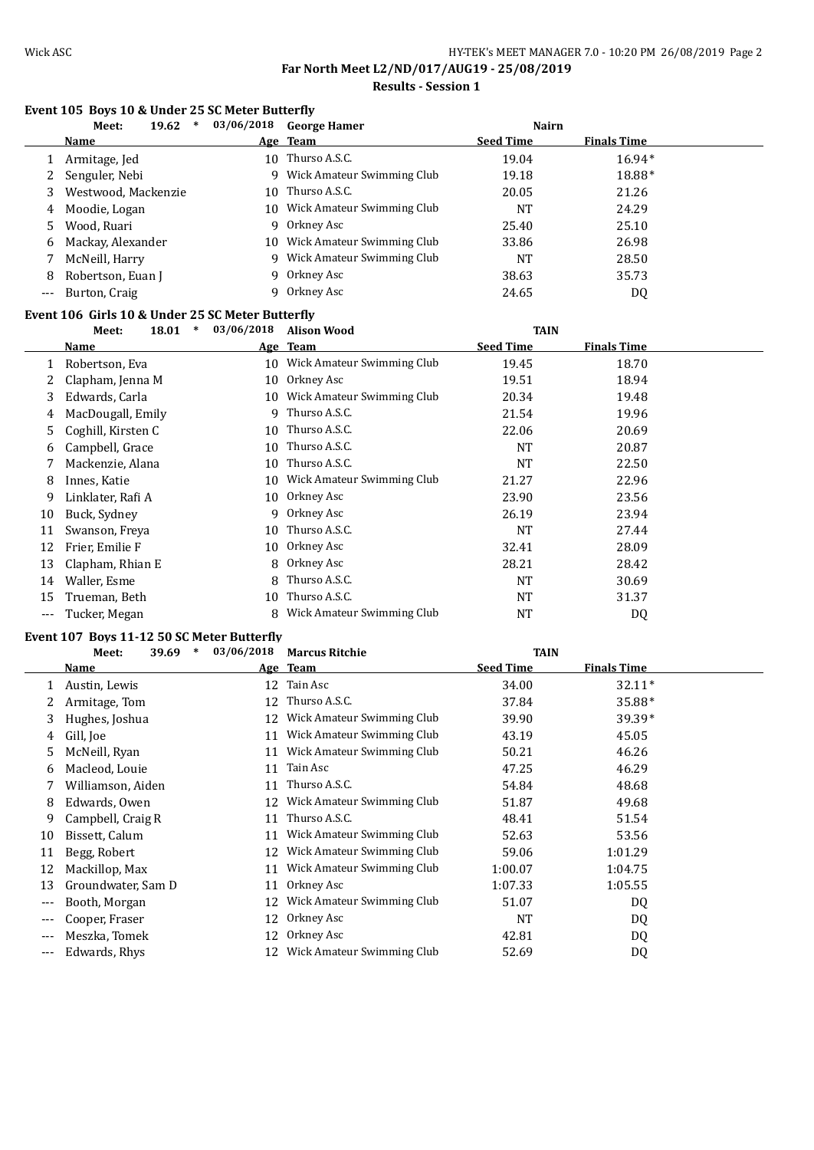**Results - Session 1**

### **Event 105 Boys 10 & Under 25 SC Meter Butterfly**

|       | 19.62<br>$\ast$<br>Meet: | 03/06/2018 | <b>George Hamer</b>        | <b>Nairn</b>     |                    |
|-------|--------------------------|------------|----------------------------|------------------|--------------------|
|       | <b>Name</b>              |            | Age Team                   | <b>Seed Time</b> | <b>Finals Time</b> |
|       | Armitage, Jed            | 10         | Thurso A.S.C.              | 19.04            | $16.94*$           |
|       | 2 Senguler, Nebi         | 9          | Wick Amateur Swimming Club | 19.18            | 18.88*             |
| 3.    | Westwood, Mackenzie      | 10         | Thurso A.S.C.              | 20.05            | 21.26              |
| 4     | Moodie, Logan            | 10         | Wick Amateur Swimming Club | NT               | 24.29              |
| 5.    | Wood, Ruari              | q.         | Orkney Asc                 | 25.40            | 25.10              |
| 6     | Mackay, Alexander        | 10.        | Wick Amateur Swimming Club | 33.86            | 26.98              |
|       | McNeill, Harry           | 9          | Wick Amateur Swimming Club | <b>NT</b>        | 28.50              |
| 8     | Robertson, Euan J        |            | 9 Orkney Asc               | 38.63            | 35.73              |
| $---$ | Burton, Craig            |            | Orkney Asc                 | 24.65            | DQ                 |

#### **Event 106 Girls 10 & Under 25 SC Meter Butterfly**

|     | $\ast$<br>18.01<br>Meet: | 03/06/2018 | <b>Alison Wood</b>            | <b>TAIN</b>      |                    |  |
|-----|--------------------------|------------|-------------------------------|------------------|--------------------|--|
|     | <b>Name</b>              |            | Age Team                      | <b>Seed Time</b> | <b>Finals Time</b> |  |
|     | Robertson, Eva           |            | 10 Wick Amateur Swimming Club | 19.45            | 18.70              |  |
|     | Clapham, Jenna M         | 10         | Orkney Asc                    | 19.51            | 18.94              |  |
| 3   | Edwards, Carla           | 10         | Wick Amateur Swimming Club    | 20.34            | 19.48              |  |
| 4   | MacDougall, Emily        | 9          | Thurso A.S.C.                 | 21.54            | 19.96              |  |
| 5.  | Coghill, Kirsten C       | 10         | Thurso A.S.C.                 | 22.06            | 20.69              |  |
| 6   | Campbell, Grace          | 10         | Thurso A.S.C.                 | NT               | 20.87              |  |
|     | Mackenzie, Alana         | 10         | Thurso A.S.C.                 | <b>NT</b>        | 22.50              |  |
| 8   | Innes, Katie             | 10         | Wick Amateur Swimming Club    | 21.27            | 22.96              |  |
| 9   | Linklater, Rafi A        | 10         | Orkney Asc                    | 23.90            | 23.56              |  |
| 10  | Buck, Sydney             | 9          | Orkney Asc                    | 26.19            | 23.94              |  |
| 11  | Swanson, Freya           | 10         | Thurso A.S.C.                 | NT               | 27.44              |  |
| 12  | Frier, Emilie F          | 10         | Orkney Asc                    | 32.41            | 28.09              |  |
| 13  | Clapham, Rhian E         | 8          | Orkney Asc                    | 28.21            | 28.42              |  |
| 14  | Waller, Esme             | 8          | Thurso A.S.C.                 | <b>NT</b>        | 30.69              |  |
| 15  | Trueman, Beth            | 10         | Thurso A.S.C.                 | <b>NT</b>        | 31.37              |  |
| --- | Tucker, Megan            | 8          | Wick Amateur Swimming Club    | NT               | DQ                 |  |

### **Event 107 Boys 11-12 50 SC Meter Butterfly**

|       | $\ast$<br>39.69<br>Meet: | 03/06/2018 | <b>Marcus Ritchie</b>      | <b>TAIN</b>      |                    |  |
|-------|--------------------------|------------|----------------------------|------------------|--------------------|--|
|       | Name                     |            | Age Team                   | <b>Seed Time</b> | <b>Finals Time</b> |  |
|       | Austin, Lewis            | 12         | Tain Asc                   | 34.00            | $32.11*$           |  |
|       | Armitage, Tom            | 12         | Thurso A.S.C.              | 37.84            | 35.88*             |  |
| 3.    | Hughes, Joshua           | 12         | Wick Amateur Swimming Club | 39.90            | 39.39*             |  |
| 4     | Gill, Joe                | 11         | Wick Amateur Swimming Club | 43.19            | 45.05              |  |
| 5.    | McNeill, Ryan            | 11         | Wick Amateur Swimming Club | 50.21            | 46.26              |  |
| 6     | Macleod, Louie           | 11         | Tain Asc                   | 47.25            | 46.29              |  |
|       | Williamson, Aiden        | 11         | Thurso A.S.C.              | 54.84            | 48.68              |  |
| 8     | Edwards, Owen            | 12         | Wick Amateur Swimming Club | 51.87            | 49.68              |  |
| 9     | Campbell, Craig R        | 11         | Thurso A.S.C.              | 48.41            | 51.54              |  |
| 10    | Bissett, Calum           | 11         | Wick Amateur Swimming Club | 52.63            | 53.56              |  |
| 11    | Begg, Robert             | 12         | Wick Amateur Swimming Club | 59.06            | 1:01.29            |  |
| 12    | Mackillop, Max           | 11         | Wick Amateur Swimming Club | 1:00.07          | 1:04.75            |  |
| 13    | Groundwater, Sam D       | 11         | Orkney Asc                 | 1:07.33          | 1:05.55            |  |
| $---$ | Booth, Morgan            | 12         | Wick Amateur Swimming Club | 51.07            | DQ                 |  |
| ---   | Cooper, Fraser           | 12         | Orkney Asc                 | NT               | DQ                 |  |
| ---   | Meszka, Tomek            | 12         | Orkney Asc                 | 42.81            | DQ                 |  |
| $--$  | Edwards, Rhys            | 12         | Wick Amateur Swimming Club | 52.69            | DQ                 |  |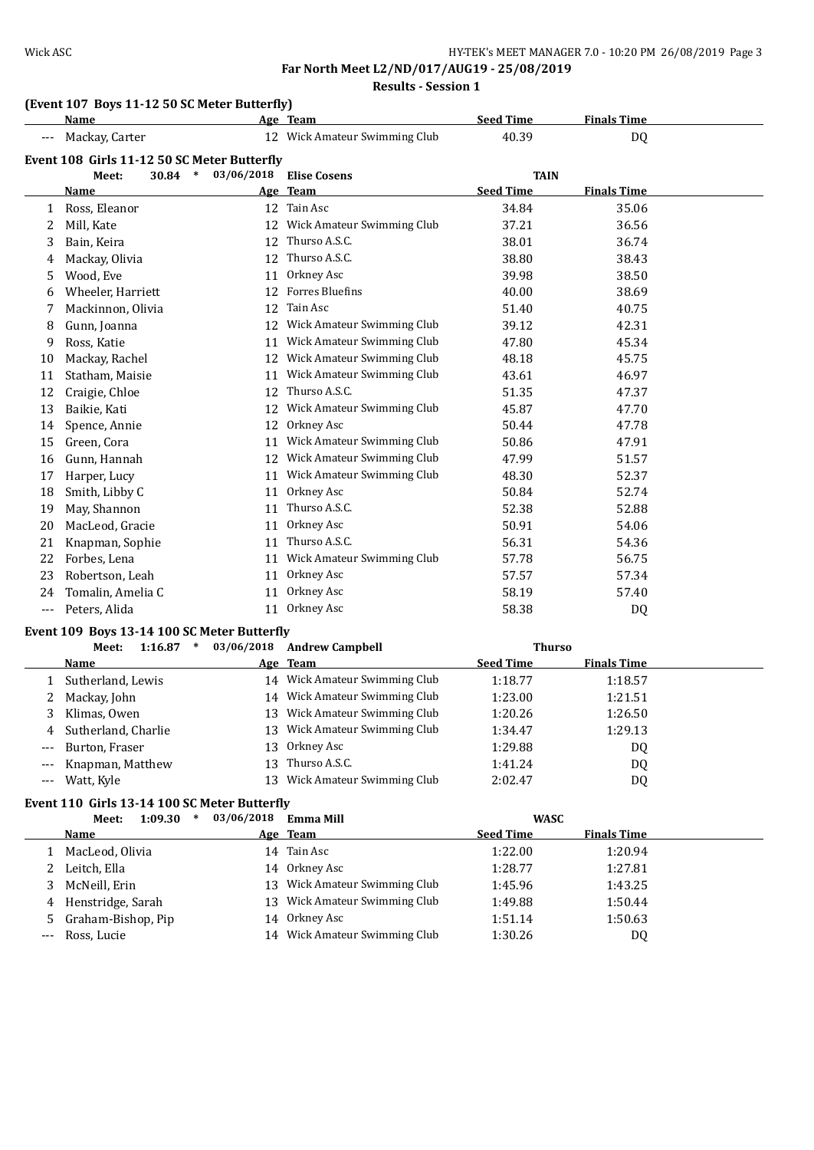# Wick ASC WICK ASC HY-TEK's MEET MANAGER 7.0 - 10:20 PM 26/08/2019 Page 3

**Far North Meet L2/ND/017/AUG19 - 25/08/2019 Results - Session 1**

# **(Event 107 Boys 11-12 50 SC Meter Butterfly)**

|       | <b>Name</b>                                 |                 | Age Team                      | <b>Seed Time</b> | <b>Finals Time</b> |  |
|-------|---------------------------------------------|-----------------|-------------------------------|------------------|--------------------|--|
|       | Mackay, Carter                              |                 | 12 Wick Amateur Swimming Club | 40.39            | <b>DQ</b>          |  |
|       | Event 108 Girls 11-12 50 SC Meter Butterfly |                 |                               |                  |                    |  |
|       | 30.84<br>$\ast$<br>Meet:                    | 03/06/2018      | <b>Elise Cosens</b>           | <b>TAIN</b>      |                    |  |
|       | Name                                        |                 | Age Team                      | <b>Seed Time</b> | <b>Finals Time</b> |  |
| 1     | Ross, Eleanor                               |                 | 12 Tain Asc                   | 34.84            | 35.06              |  |
| 2     | Mill, Kate                                  | 12              | Wick Amateur Swimming Club    | 37.21            | 36.56              |  |
| 3     | Bain, Keira                                 | 12 <sup>°</sup> | Thurso A.S.C.                 | 38.01            | 36.74              |  |
| 4     | Mackay, Olivia                              | 12              | Thurso A.S.C.                 | 38.80            | 38.43              |  |
| 5     | Wood, Eve                                   | 11              | Orkney Asc                    | 39.98            | 38.50              |  |
| 6     | Wheeler, Harriett                           | 12              | <b>Forres Bluefins</b>        | 40.00            | 38.69              |  |
| 7     | Mackinnon, Olivia                           | 12              | Tain Asc                      | 51.40            | 40.75              |  |
| 8     | Gunn, Joanna                                |                 | 12 Wick Amateur Swimming Club | 39.12            | 42.31              |  |
| 9     | Ross, Katie                                 | 11              | Wick Amateur Swimming Club    | 47.80            | 45.34              |  |
| 10    | Mackay, Rachel                              |                 | 12 Wick Amateur Swimming Club | 48.18            | 45.75              |  |
| 11    | Statham, Maisie                             |                 | 11 Wick Amateur Swimming Club | 43.61            | 46.97              |  |
| 12    | Craigie, Chloe                              | 12              | Thurso A.S.C.                 | 51.35            | 47.37              |  |
| 13    | Baikie, Kati                                |                 | 12 Wick Amateur Swimming Club | 45.87            | 47.70              |  |
| 14    | Spence, Annie                               | 12              | Orkney Asc                    | 50.44            | 47.78              |  |
| 15    | Green, Cora                                 | 11              | Wick Amateur Swimming Club    | 50.86            | 47.91              |  |
| 16    | Gunn, Hannah                                |                 | 12 Wick Amateur Swimming Club | 47.99            | 51.57              |  |
| 17    | Harper, Lucy                                |                 | 11 Wick Amateur Swimming Club | 48.30            | 52.37              |  |
| 18    | Smith, Libby C                              | 11              | Orkney Asc                    | 50.84            | 52.74              |  |
| 19    | May, Shannon                                | 11              | Thurso A.S.C.                 | 52.38            | 52.88              |  |
| 20    | MacLeod, Gracie                             | 11              | Orkney Asc                    | 50.91            | 54.06              |  |
| 21    | Knapman, Sophie                             | 11              | Thurso A.S.C.                 | 56.31            | 54.36              |  |
| 22    | Forbes, Lena                                | 11              | Wick Amateur Swimming Club    | 57.78            | 56.75              |  |
| 23    | Robertson, Leah                             | 11              | Orkney Asc                    | 57.57            | 57.34              |  |
| 24    | Tomalin, Amelia C                           | 11              | Orkney Asc                    | 58.19            | 57.40              |  |
| $---$ | Peters, Alida                               | 11              | Orkney Asc                    | 58.38            | DQ                 |  |
|       | Event 109 Boys 13-14 100 SC Meter Butterfly |                 |                               |                  |                    |  |
|       | $1:16.87$ *<br>Meet:                        | 03/06/2018      | <b>Andrew Campbell</b>        | <b>Thurso</b>    |                    |  |

|       | 1:16.87<br>∗<br>Meet: | 03/06/2018 | <b>Andrew Campbell</b>        | Thurso           |                    |  |
|-------|-----------------------|------------|-------------------------------|------------------|--------------------|--|
|       | Name                  |            | Age Team                      | <b>Seed Time</b> | <b>Finals Time</b> |  |
|       | Sutherland, Lewis     |            | 14 Wick Amateur Swimming Club | 1:18.77          | 1:18.57            |  |
|       | Mackay, John          |            | 14 Wick Amateur Swimming Club | 1:23.00          | 1:21.51            |  |
|       | Klimas, Owen          | 13.        | Wick Amateur Swimming Club    | 1:20.26          | 1:26.50            |  |
| 4     | Sutherland, Charlie   |            | 13 Wick Amateur Swimming Club | 1:34.47          | 1:29.13            |  |
| $---$ | Burton, Fraser        | 13         | Orkney Asc                    | 1:29.88          | DQ                 |  |
|       | --- Knapman, Matthew  | 13         | Thurso A.S.C.                 | 1:41.24          | DQ                 |  |
|       | Watt, Kyle            | 13         | Wick Amateur Swimming Club    | 2:02.47          | DQ                 |  |

### **Event 110 Girls 13-14 100 SC Meter Butterfly**

|   | 1:09.30<br>∗<br>Meet: | 03/06/2018 | Emma Mill                     | <b>WASC</b>      |                    |
|---|-----------------------|------------|-------------------------------|------------------|--------------------|
|   | Name                  |            | Age Team                      | <b>Seed Time</b> | <b>Finals Time</b> |
|   | MacLeod, Olivia       |            | 14 Tain Asc                   | 1:22.00          | 1:20.94            |
|   | Leitch, Ella          |            | 14 Orkney Asc                 | 1:28.77          | 1:27.81            |
|   | McNeill, Erin         |            | 13 Wick Amateur Swimming Club | 1:45.96          | 1:43.25            |
| 4 | Henstridge, Sarah     | 13.        | Wick Amateur Swimming Club    | 1:49.88          | 1:50.44            |
|   | 5 Graham-Bishop, Pip  |            | 14 Orkney Asc                 | 1:51.14          | 1:50.63            |
|   | --- Ross, Lucie       |            | 14 Wick Amateur Swimming Club | 1:30.26          | DQ                 |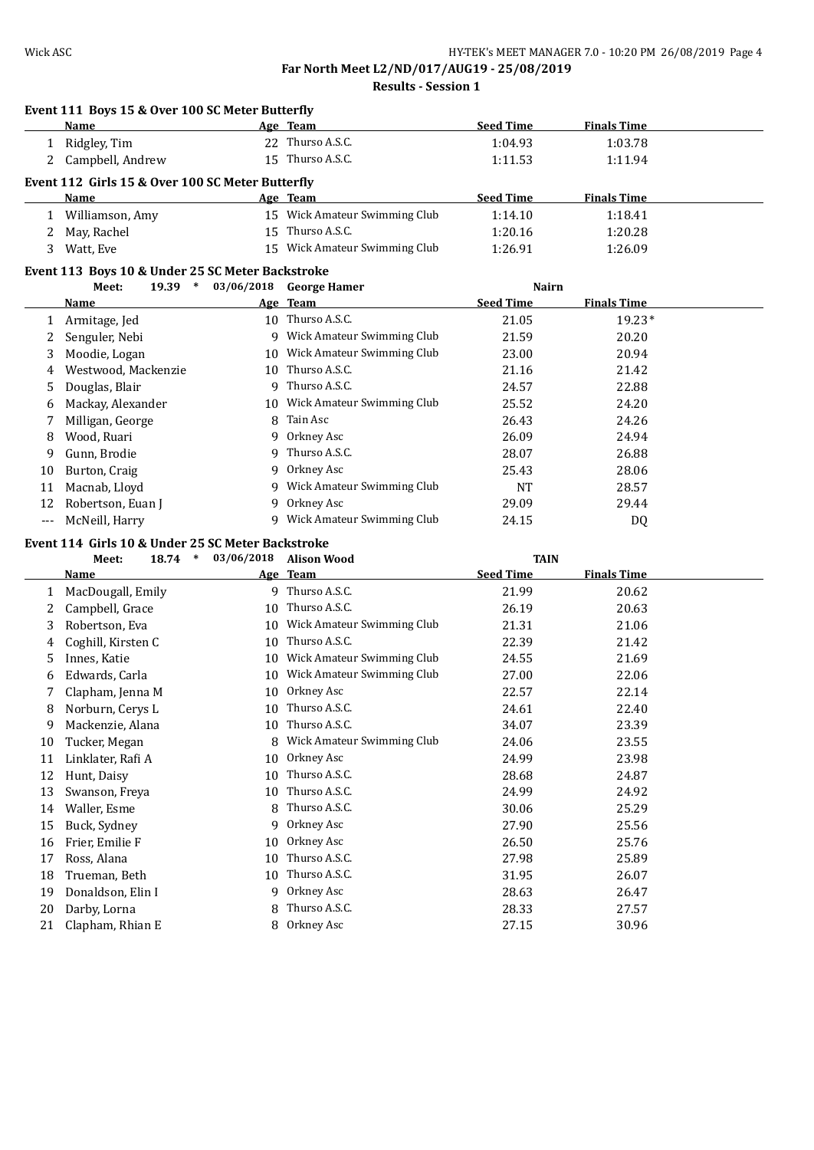**Results - Session 1**

|          | Event 111 Boys 15 & Over 100 SC Meter Butterfly<br>Name |            | Age Team                      | <b>Seed Time</b> | <b>Finals Time</b> |  |
|----------|---------------------------------------------------------|------------|-------------------------------|------------------|--------------------|--|
|          | 1 Ridgley, Tim                                          |            | 22 Thurso A.S.C.              | 1:04.93          | 1:03.78            |  |
|          | 2 Campbell, Andrew                                      |            | 15 Thurso A.S.C.              | 1:11.53          | 1:11.94            |  |
|          |                                                         |            |                               |                  |                    |  |
|          | Event 112 Girls 15 & Over 100 SC Meter Butterfly        |            |                               |                  |                    |  |
|          | Name                                                    |            | Age Team                      | <b>Seed Time</b> | <b>Finals Time</b> |  |
|          | 1 Williamson, Amy                                       |            | 15 Wick Amateur Swimming Club | 1:14.10          | 1:18.41            |  |
|          | 2 May, Rachel                                           |            | 15 Thurso A.S.C.              | 1:20.16          | 1:20.28            |  |
| 3        | Watt, Eve                                               |            | 15 Wick Amateur Swimming Club | 1:26.91          | 1:26.09            |  |
|          | Event 113 Boys 10 & Under 25 SC Meter Backstroke        |            |                               |                  |                    |  |
|          | $19.39$ *<br>Meet:                                      | 03/06/2018 | <b>George Hamer</b>           | <b>Nairn</b>     |                    |  |
|          | Name                                                    |            | Age Team                      | <b>Seed Time</b> | <b>Finals Time</b> |  |
|          | 1 Armitage, Jed                                         |            | 10 Thurso A.S.C.              | 21.05            | $19.23*$           |  |
| 2        | Senguler, Nebi                                          |            | 9 Wick Amateur Swimming Club  | 21.59            | 20.20              |  |
| 3        | Moodie, Logan                                           |            | 10 Wick Amateur Swimming Club | 23.00            | 20.94              |  |
| 4        | Westwood, Mackenzie                                     | 10         | Thurso A.S.C.                 | 21.16            | 21.42              |  |
| 5        | Douglas, Blair                                          | 9          | Thurso A.S.C.                 | 24.57            | 22.88              |  |
| 6        | Mackay, Alexander                                       | 10         | Wick Amateur Swimming Club    | 25.52            | 24.20              |  |
| 7        | Milligan, George                                        | 8          | Tain Asc                      | 26.43            | 24.26              |  |
| 8        | Wood, Ruari                                             | 9          | Orkney Asc                    | 26.09            | 24.94              |  |
| 9        | Gunn, Brodie                                            | 9          | Thurso A.S.C.                 | 28.07            | 26.88              |  |
| 10       | Burton, Craig                                           | 9          | Orkney Asc                    | 25.43            | 28.06              |  |
| 11       | Macnab, Lloyd                                           | 9          | Wick Amateur Swimming Club    | <b>NT</b>        | 28.57              |  |
| 12       | Robertson, Euan J                                       | 9          | Orkney Asc                    | 29.09            | 29.44              |  |
| $---$    | McNeill, Harry                                          |            | 9 Wick Amateur Swimming Club  | 24.15            | <b>DQ</b>          |  |
|          | Event 114 Girls 10 & Under 25 SC Meter Backstroke       |            |                               |                  |                    |  |
|          | 18.74 *<br>Meet:                                        | 03/06/2018 | <b>Alison Wood</b>            | <b>TAIN</b>      |                    |  |
|          | Name                                                    |            | Age Team                      | <b>Seed Time</b> | <b>Finals Time</b> |  |
| 1        | MacDougall, Emily                                       |            | 9 Thurso A.S.C.               | 21.99            | 20.62              |  |
| 2        | Campbell, Grace                                         |            | 10 Thurso A.S.C.              | 26.19            | 20.63              |  |
| 3        | Robertson, Eva                                          |            | 10 Wick Amateur Swimming Club | 21.31            | 21.06              |  |
| 4        | Coghill, Kirsten C                                      |            | 10 Thurso A.S.C.              | 22.39            | 21.42              |  |
| 5        | Innes, Katie                                            |            | 10 Wick Amateur Swimming Club | 24.55            | 21.69              |  |
| 6        | Edwards, Carla                                          |            | 10 Wick Amateur Swimming Club | 27.00            | 22.06              |  |
| 7        | Clapham, Jenna M                                        |            | 10 Orkney Asc                 | 22.57            | 22.14              |  |
| 8        | Norburn, Cerys L                                        |            | 10 Thurso A.S.C.              | 24.61            | 22.40              |  |
| 9        | Mackenzie, Alana                                        |            | 10 Thurso A.S.C.              | 34.07            | 23.39              |  |
| 10       | Tucker, Megan                                           | 8          | Wick Amateur Swimming Club    | 24.06            | 23.55              |  |
|          |                                                         |            |                               |                  |                    |  |
|          |                                                         | 10         |                               |                  |                    |  |
| 11       | Linklater, Rafi A                                       | 10         | Orkney Asc<br>Thurso A.S.C.   | 24.99            | 23.98              |  |
| 12       | Hunt, Daisy                                             | 10         | Thurso A.S.C.                 | 28.68            | 24.87              |  |
| 13       | Swanson, Freya                                          | 8          |                               | 24.99            | 24.92              |  |
| 14       | Waller, Esme                                            | 9          | Thurso A.S.C.                 | 30.06            | 25.29              |  |
| 15       | Buck, Sydney                                            |            | Orkney Asc                    | 27.90            | 25.56              |  |
| 16       | Frier, Emilie F                                         | 10         | Orkney Asc                    | 26.50            | 25.76              |  |
| 17       | Ross, Alana                                             | 10         | Thurso A.S.C.                 | 27.98            | 25.89              |  |
| 18       | Trueman, Beth                                           | 10<br>9    | Thurso A.S.C.                 | 31.95            | 26.07              |  |
| 19       | Donaldson, Elin I                                       |            | Orkney Asc                    | 28.63            | 26.47              |  |
| 20<br>21 | Darby, Lorna<br>Clapham, Rhian E                        | 8<br>8     | Thurso A.S.C.<br>Orkney Asc   | 28.33<br>27.15   | 27.57<br>30.96     |  |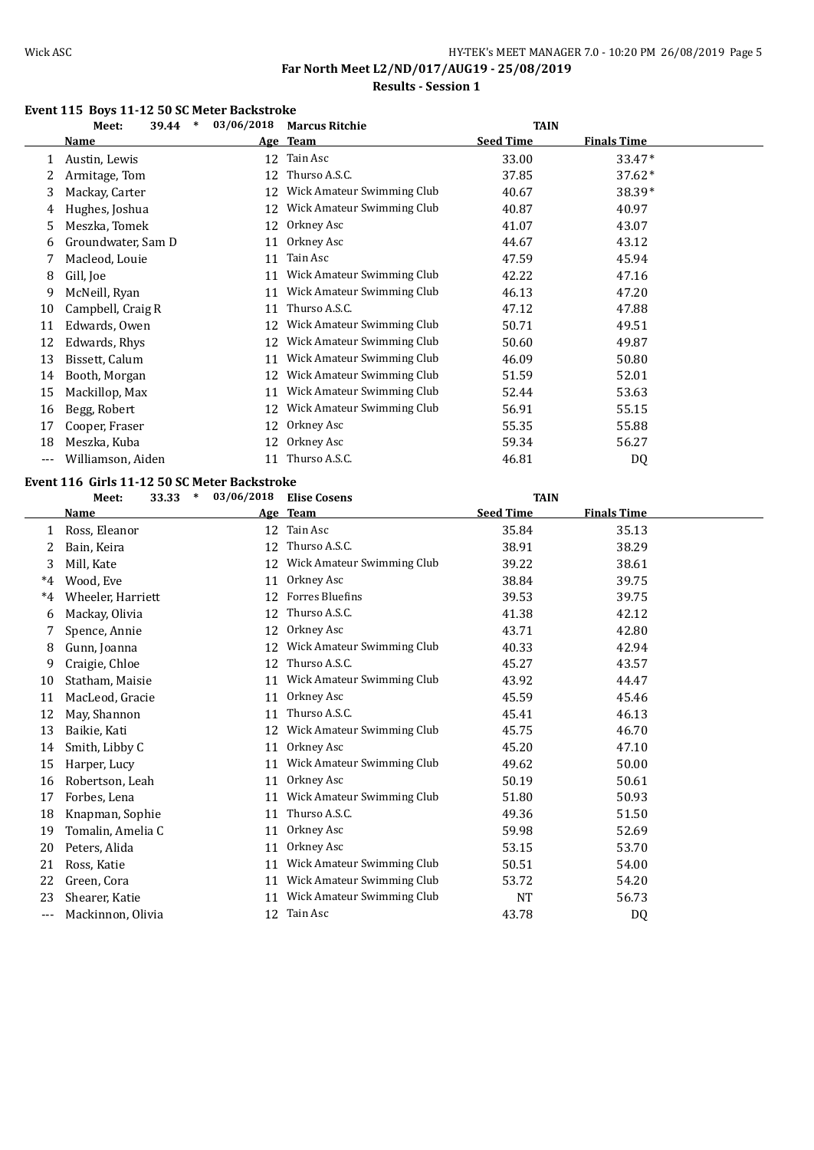## Wick ASC WICK ASC HY-TEK's MEET MANAGER 7.0 - 10:20 PM 26/08/2019 Page 5 **Far North Meet L2/ND/017/AUG19 - 25/08/2019**

## **Results - Session 1**

### **Event 115 Boys 11-12 50 SC Meter Backstroke**

|     | $\ast$<br>39.44<br>Meet: | 03/06/2018 | <b>Marcus Ritchie</b>      | <b>TAIN</b>      |                    |  |
|-----|--------------------------|------------|----------------------------|------------------|--------------------|--|
|     | Name                     |            | Age Team                   | <b>Seed Time</b> | <b>Finals Time</b> |  |
|     | Austin, Lewis            | 12         | Tain Asc                   | 33.00            | 33.47*             |  |
|     | Armitage, Tom            | 12         | Thurso A.S.C.              | 37.85            | $37.62*$           |  |
| 3   | Mackay, Carter           | 12         | Wick Amateur Swimming Club | 40.67            | 38.39*             |  |
| 4   | Hughes, Joshua           | 12         | Wick Amateur Swimming Club | 40.87            | 40.97              |  |
| 5.  | Meszka, Tomek            | 12         | Orkney Asc                 | 41.07            | 43.07              |  |
| 6   | Groundwater, Sam D       | 11         | Orkney Asc                 | 44.67            | 43.12              |  |
|     | Macleod, Louie           | 11         | Tain Asc                   | 47.59            | 45.94              |  |
| 8   | Gill, Joe                | 11         | Wick Amateur Swimming Club | 42.22            | 47.16              |  |
| 9   | McNeill, Ryan            | 11         | Wick Amateur Swimming Club | 46.13            | 47.20              |  |
| 10  | Campbell, Craig R        | 11         | Thurso A.S.C.              | 47.12            | 47.88              |  |
| 11  | Edwards, Owen            | 12         | Wick Amateur Swimming Club | 50.71            | 49.51              |  |
| 12  | Edwards, Rhys            | 12         | Wick Amateur Swimming Club | 50.60            | 49.87              |  |
| 13  | Bissett, Calum           | 11         | Wick Amateur Swimming Club | 46.09            | 50.80              |  |
| 14  | Booth, Morgan            | 12         | Wick Amateur Swimming Club | 51.59            | 52.01              |  |
| 15  | Mackillop, Max           | 11         | Wick Amateur Swimming Club | 52.44            | 53.63              |  |
| 16  | Begg, Robert             | 12         | Wick Amateur Swimming Club | 56.91            | 55.15              |  |
| 17  | Cooper, Fraser           | 12         | Orkney Asc                 | 55.35            | 55.88              |  |
| 18  | Meszka, Kuba             | 12         | Orkney Asc                 | 59.34            | 56.27              |  |
| --- | Williamson, Aiden        | 11         | Thurso A.S.C.              | 46.81            | DQ                 |  |

### **Event 116 Girls 11-12 50 SC Meter Backstroke**

| TAIN |
|------|
|      |

|         | Name              |    | Age Team                   | <b>Seed Time</b> | <b>Finals Time</b> |  |
|---------|-------------------|----|----------------------------|------------------|--------------------|--|
|         | Ross, Eleanor     | 12 | Tain Asc                   | 35.84            | 35.13              |  |
| 2       | Bain, Keira       | 12 | Thurso A.S.C.              | 38.91            | 38.29              |  |
| 3       | Mill, Kate        | 12 | Wick Amateur Swimming Club | 39.22            | 38.61              |  |
| $*_{4}$ | Wood. Eve         | 11 | Orkney Asc                 | 38.84            | 39.75              |  |
| $*_{4}$ | Wheeler, Harriett | 12 | <b>Forres Bluefins</b>     | 39.53            | 39.75              |  |
| 6       | Mackay, Olivia    | 12 | Thurso A.S.C.              | 41.38            | 42.12              |  |
|         | Spence, Annie     | 12 | Orkney Asc                 | 43.71            | 42.80              |  |
| 8       | Gunn, Joanna      | 12 | Wick Amateur Swimming Club | 40.33            | 42.94              |  |
| 9       | Craigie, Chloe    | 12 | Thurso A.S.C.              | 45.27            | 43.57              |  |
| 10      | Statham, Maisie   | 11 | Wick Amateur Swimming Club | 43.92            | 44.47              |  |
| 11      | MacLeod, Gracie   | 11 | Orkney Asc                 | 45.59            | 45.46              |  |
| 12      | May, Shannon      | 11 | Thurso A.S.C.              | 45.41            | 46.13              |  |
| 13      | Baikie, Kati      | 12 | Wick Amateur Swimming Club | 45.75            | 46.70              |  |
| 14      | Smith, Libby C    | 11 | Orkney Asc                 | 45.20            | 47.10              |  |
| 15      | Harper, Lucy      | 11 | Wick Amateur Swimming Club | 49.62            | 50.00              |  |
| 16      | Robertson, Leah   | 11 | Orkney Asc                 | 50.19            | 50.61              |  |
| 17      | Forbes, Lena      | 11 | Wick Amateur Swimming Club | 51.80            | 50.93              |  |
| 18      | Knapman, Sophie   | 11 | Thurso A.S.C.              | 49.36            | 51.50              |  |
| 19      | Tomalin, Amelia C | 11 | Orkney Asc                 | 59.98            | 52.69              |  |
| 20      | Peters, Alida     | 11 | Orkney Asc                 | 53.15            | 53.70              |  |
| 21      | Ross, Katie       | 11 | Wick Amateur Swimming Club | 50.51            | 54.00              |  |
| 22      | Green, Cora       | 11 | Wick Amateur Swimming Club | 53.72            | 54.20              |  |
| 23      | Shearer, Katie    | 11 | Wick Amateur Swimming Club | NT               | 56.73              |  |
| ---     | Mackinnon, Olivia | 12 | Tain Asc                   | 43.78            | D <sub>0</sub>     |  |